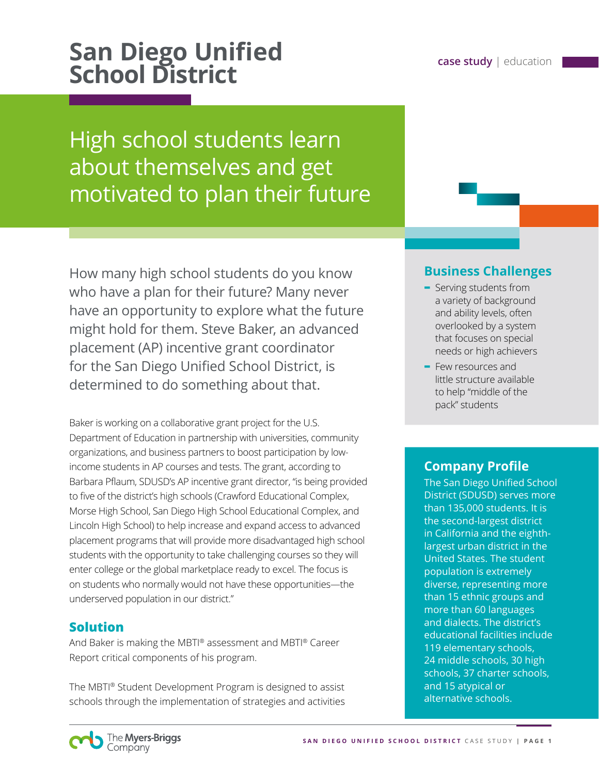# **San Diego Unified case study** | education **School District**

High school students learn about themselves and get motivated to plan their future

How many high school students do you know who have a plan for their future? Many never have an opportunity to explore what the future might hold for them. Steve Baker, an advanced placement (AP) incentive grant coordinator for the San Diego Unified School District, is determined to do something about that.

Baker is working on a collaborative grant project for the U.S. Department of Education in partnership with universities, community organizations, and business partners to boost participation by lowincome students in AP courses and tests. The grant, according to Barbara Pflaum, SDUSD's AP incentive grant director, "is being provided to five of the district's high schools (Crawford Educational Complex, Morse High School, San Diego High School Educational Complex, and Lincoln High School) to help increase and expand access to advanced placement programs that will provide more disadvantaged high school students with the opportunity to take challenging courses so they will enter college or the global marketplace ready to excel. The focus is on students who normally would not have these opportunities—the underserved population in our district."

### **Solution**

And Baker is making the MBTI® assessment and MBTI® Career Report critical components of his program.

The MBTI® Student Development Program is designed to assist schools through the implementation of strategies and activities

### **Business Challenges**

- **-** Serving students from a variety of background and ability levels, often overlooked by a system that focuses on special needs or high achievers
- **-** Few resources and little structure available to help "middle of the pack" students

### **Company Profile**

The San Diego Unified School District (SDUSD) serves more than 135,000 students. It is the second-largest district in California and the eighthlargest urban district in the United States. The student population is extremely diverse, representing more than 15 ethnic groups and more than 60 languages and dialects. The district's educational facilities include 119 elementary schools, 24 middle schools, 30 high schools, 37 charter schools, and 15 atypical or alternative schools.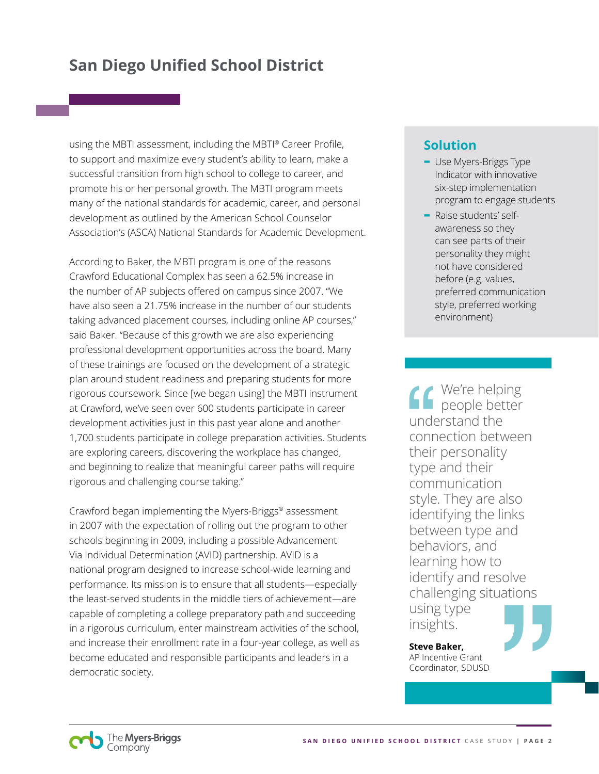using the MBTI assessment, including the MBTI® Career Profile, to support and maximize every student's ability to learn, make a successful transition from high school to college to career, and promote his or her personal growth. The MBTI program meets many of the national standards for academic, career, and personal development as outlined by the American School Counselor Association's (ASCA) National Standards for Academic Development.

According to Baker, the MBTI program is one of the reasons Crawford Educational Complex has seen a 62.5% increase in the number of AP subjects offered on campus since 2007. "We have also seen a 21.75% increase in the number of our students taking advanced placement courses, including online AP courses," said Baker. "Because of this growth we are also experiencing professional development opportunities across the board. Many of these trainings are focused on the development of a strategic plan around student readiness and preparing students for more rigorous coursework. Since [we began using] the MBTI instrument at Crawford, we've seen over 600 students participate in career development activities just in this past year alone and another 1,700 students participate in college preparation activities. Students are exploring careers, discovering the workplace has changed, and beginning to realize that meaningful career paths will require rigorous and challenging course taking."

Crawford began implementing the Myers-Briggs® assessment in 2007 with the expectation of rolling out the program to other schools beginning in 2009, including a possible Advancement Via Individual Determination (AVID) partnership. AVID is a national program designed to increase school-wide learning and performance. Its mission is to ensure that all students—especially the least-served students in the middle tiers of achievement—are capable of completing a college preparatory path and succeeding in a rigorous curriculum, enter mainstream activities of the school, and increase their enrollment rate in a four-year college, as well as become educated and responsible participants and leaders in a democratic society.

### **Solution**

- **-** Use Myers-Briggs Type Indicator with innovative six-step implementation program to engage students
- **-** Raise students' selfawareness so they can see parts of their personality they might not have considered before (e.g. values, preferred communication style, preferred working environment)

We're helping people better understand the connection between their personality type and their communication style. They are also identifying the links between type and behaviors, and learning how to identify and resolve challenging situations using type insights.

**Steve Baker,**  AP Incentive Grant Coordinator, SDUSD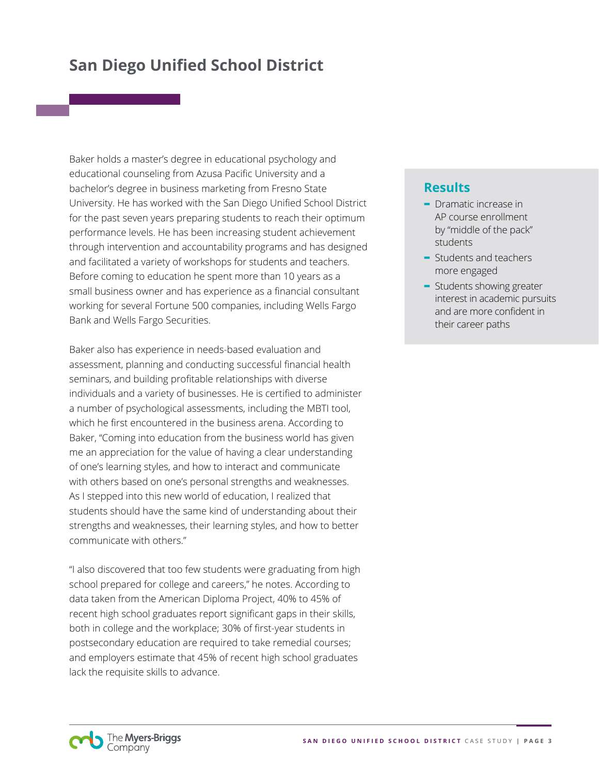Baker holds a master's degree in educational psychology and educational counseling from Azusa Pacific University and a bachelor's degree in business marketing from Fresno State University. He has worked with the San Diego Unified School District for the past seven years preparing students to reach their optimum performance levels. He has been increasing student achievement through intervention and accountability programs and has designed and facilitated a variety of workshops for students and teachers. Before coming to education he spent more than 10 years as a small business owner and has experience as a financial consultant working for several Fortune 500 companies, including Wells Fargo Bank and Wells Fargo Securities.

Baker also has experience in needs-based evaluation and assessment, planning and conducting successful financial health seminars, and building profitable relationships with diverse individuals and a variety of businesses. He is certified to administer a number of psychological assessments, including the MBTI tool, which he first encountered in the business arena. According to Baker, "Coming into education from the business world has given me an appreciation for the value of having a clear understanding of one's learning styles, and how to interact and communicate with others based on one's personal strengths and weaknesses. As I stepped into this new world of education, I realized that students should have the same kind of understanding about their strengths and weaknesses, their learning styles, and how to better communicate with others."

"I also discovered that too few students were graduating from high school prepared for college and careers," he notes. According to data taken from the American Diploma Project, 40% to 45% of recent high school graduates report significant gaps in their skills, both in college and the workplace; 30% of first-year students in postsecondary education are required to take remedial courses; and employers estimate that 45% of recent high school graduates lack the requisite skills to advance.

### **Results**

- **-** Dramatic increase in AP course enrollment by "middle of the pack" students
- **-** Students and teachers more engaged
- **-** Students showing greater interest in academic pursuits and are more confident in their career paths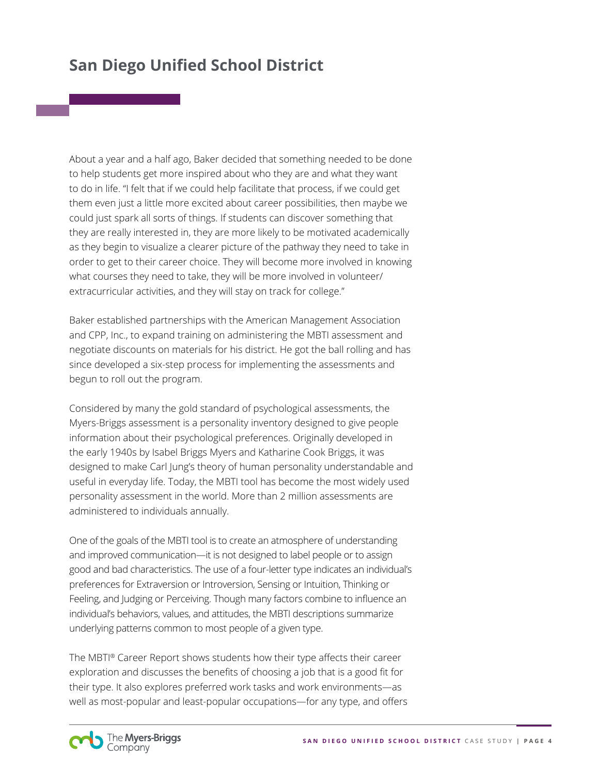About a year and a half ago, Baker decided that something needed to be done to help students get more inspired about who they are and what they want to do in life. "I felt that if we could help facilitate that process, if we could get them even just a little more excited about career possibilities, then maybe we could just spark all sorts of things. If students can discover something that they are really interested in, they are more likely to be motivated academically as they begin to visualize a clearer picture of the pathway they need to take in order to get to their career choice. They will become more involved in knowing what courses they need to take, they will be more involved in volunteer/ extracurricular activities, and they will stay on track for college."

Baker established partnerships with the American Management Association and CPP, Inc., to expand training on administering the MBTI assessment and negotiate discounts on materials for his district. He got the ball rolling and has since developed a six-step process for implementing the assessments and begun to roll out the program.

Considered by many the gold standard of psychological assessments, the Myers-Briggs assessment is a personality inventory designed to give people information about their psychological preferences. Originally developed in the early 1940s by Isabel Briggs Myers and Katharine Cook Briggs, it was designed to make Carl Jung's theory of human personality understandable and useful in everyday life. Today, the MBTI tool has become the most widely used personality assessment in the world. More than 2 million assessments are administered to individuals annually.

One of the goals of the MBTI tool is to create an atmosphere of understanding and improved communication—it is not designed to label people or to assign good and bad characteristics. The use of a four-letter type indicates an individual's preferences for Extraversion or Introversion, Sensing or Intuition, Thinking or Feeling, and Judging or Perceiving. Though many factors combine to influence an individual's behaviors, values, and attitudes, the MBTI descriptions summarize underlying patterns common to most people of a given type.

The MBTI® Career Report shows students how their type affects their career exploration and discusses the benefits of choosing a job that is a good fit for their type. It also explores preferred work tasks and work environments—as well as most-popular and least-popular occupations—for any type, and offers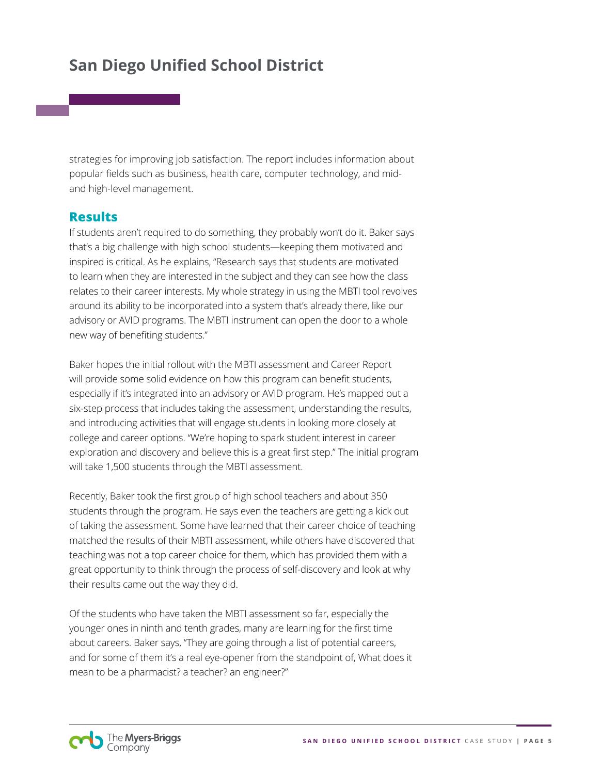strategies for improving job satisfaction. The report includes information about popular fields such as business, health care, computer technology, and midand high-level management.

### **Results**

If students aren't required to do something, they probably won't do it. Baker says that's a big challenge with high school students—keeping them motivated and inspired is critical. As he explains, "Research says that students are motivated to learn when they are interested in the subject and they can see how the class relates to their career interests. My whole strategy in using the MBTI tool revolves around its ability to be incorporated into a system that's already there, like our advisory or AVID programs. The MBTI instrument can open the door to a whole new way of benefiting students."

Baker hopes the initial rollout with the MBTI assessment and Career Report will provide some solid evidence on how this program can benefit students, especially if it's integrated into an advisory or AVID program. He's mapped out a six-step process that includes taking the assessment, understanding the results, and introducing activities that will engage students in looking more closely at college and career options. "We're hoping to spark student interest in career exploration and discovery and believe this is a great first step." The initial program will take 1,500 students through the MBTI assessment.

Recently, Baker took the first group of high school teachers and about 350 students through the program. He says even the teachers are getting a kick out of taking the assessment. Some have learned that their career choice of teaching matched the results of their MBTI assessment, while others have discovered that teaching was not a top career choice for them, which has provided them with a great opportunity to think through the process of self-discovery and look at why their results came out the way they did.

Of the students who have taken the MBTI assessment so far, especially the younger ones in ninth and tenth grades, many are learning for the first time about careers. Baker says, "They are going through a list of potential careers, and for some of them it's a real eye-opener from the standpoint of, What does it mean to be a pharmacist? a teacher? an engineer?"

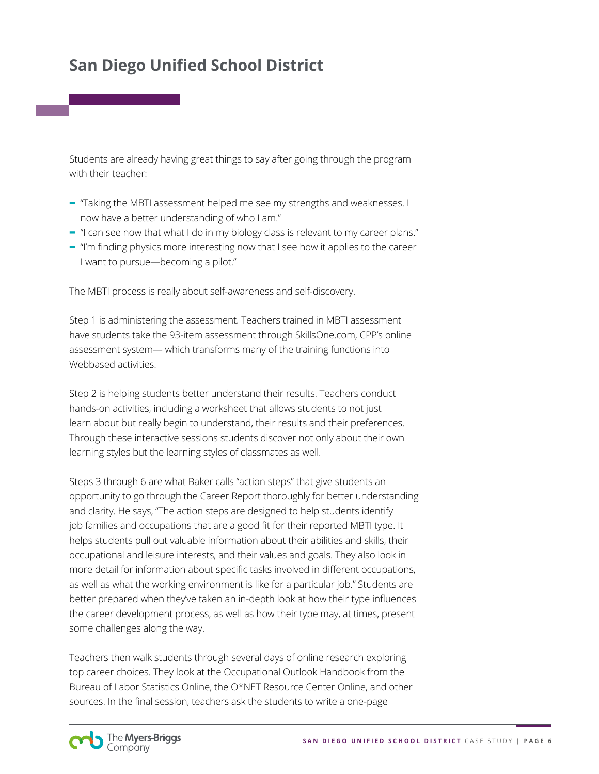Students are already having great things to say after going through the program with their teacher:

- **-** "Taking the MBTI assessment helped me see my strengths and weaknesses. I now have a better understanding of who I am."
- **-** "I can see now that what I do in my biology class is relevant to my career plans."
- **-** "I'm finding physics more interesting now that I see how it applies to the career I want to pursue—becoming a pilot."

The MBTI process is really about self-awareness and self-discovery.

Step 1 is administering the assessment. Teachers trained in MBTI assessment have students take the 93-item assessment through SkillsOne.com, CPP's online assessment system— which transforms many of the training functions into Webbased activities.

Step 2 is helping students better understand their results. Teachers conduct hands-on activities, including a worksheet that allows students to not just learn about but really begin to understand, their results and their preferences. Through these interactive sessions students discover not only about their own learning styles but the learning styles of classmates as well.

Steps 3 through 6 are what Baker calls "action steps" that give students an opportunity to go through the Career Report thoroughly for better understanding and clarity. He says, "The action steps are designed to help students identify job families and occupations that are a good fit for their reported MBTI type. It helps students pull out valuable information about their abilities and skills, their occupational and leisure interests, and their values and goals. They also look in more detail for information about specific tasks involved in different occupations, as well as what the working environment is like for a particular job." Students are better prepared when they've taken an in-depth look at how their type influences the career development process, as well as how their type may, at times, present some challenges along the way.

Teachers then walk students through several days of online research exploring top career choices. They look at the Occupational Outlook Handbook from the Bureau of Labor Statistics Online, the O\*NET Resource Center Online, and other sources. In the final session, teachers ask the students to write a one-page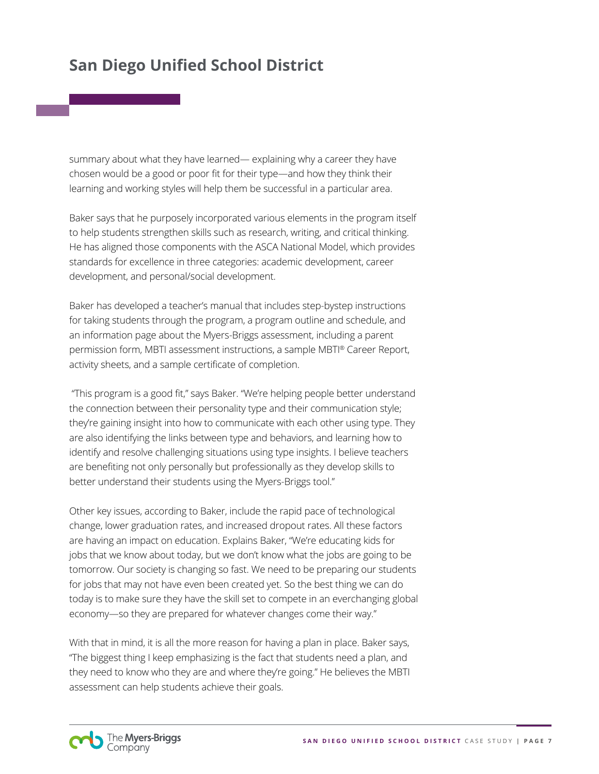summary about what they have learned— explaining why a career they have chosen would be a good or poor fit for their type—and how they think their learning and working styles will help them be successful in a particular area.

Baker says that he purposely incorporated various elements in the program itself to help students strengthen skills such as research, writing, and critical thinking. He has aligned those components with the ASCA National Model, which provides standards for excellence in three categories: academic development, career development, and personal/social development.

Baker has developed a teacher's manual that includes step-bystep instructions for taking students through the program, a program outline and schedule, and an information page about the Myers-Briggs assessment, including a parent permission form, MBTI assessment instructions, a sample MBTI® Career Report, activity sheets, and a sample certificate of completion.

 "This program is a good fit," says Baker. "We're helping people better understand the connection between their personality type and their communication style; they're gaining insight into how to communicate with each other using type. They are also identifying the links between type and behaviors, and learning how to identify and resolve challenging situations using type insights. I believe teachers are benefiting not only personally but professionally as they develop skills to better understand their students using the Myers-Briggs tool."

Other key issues, according to Baker, include the rapid pace of technological change, lower graduation rates, and increased dropout rates. All these factors are having an impact on education. Explains Baker, "We're educating kids for jobs that we know about today, but we don't know what the jobs are going to be tomorrow. Our society is changing so fast. We need to be preparing our students for jobs that may not have even been created yet. So the best thing we can do today is to make sure they have the skill set to compete in an everchanging global economy—so they are prepared for whatever changes come their way."

With that in mind, it is all the more reason for having a plan in place. Baker says, "The biggest thing I keep emphasizing is the fact that students need a plan, and they need to know who they are and where they're going." He believes the MBTI assessment can help students achieve their goals.

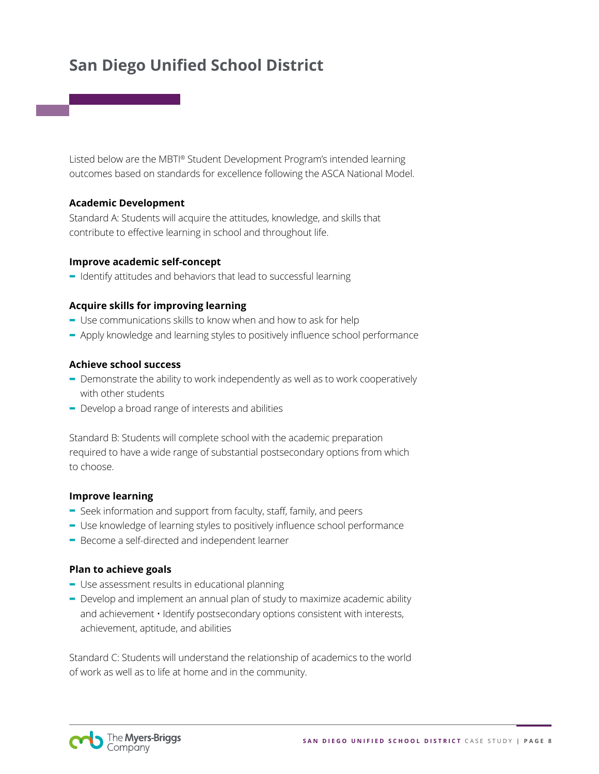Listed below are the MBTI® Student Development Program's intended learning outcomes based on standards for excellence following the ASCA National Model.

### **Academic Development**

Standard A: Students will acquire the attitudes, knowledge, and skills that contribute to effective learning in school and throughout life.

### **Improve academic self-concept**

**-** Identify attitudes and behaviors that lead to successful learning

### **Acquire skills for improving learning**

- **-** Use communications skills to know when and how to ask for help
- **-** Apply knowledge and learning styles to positively influence school performance

### **Achieve school success**

- **-** Demonstrate the ability to work independently as well as to work cooperatively with other students
- **-** Develop a broad range of interests and abilities

Standard B: Students will complete school with the academic preparation required to have a wide range of substantial postsecondary options from which to choose.

### **Improve learning**

- **-** Seek information and support from faculty, staff, family, and peers
- **-** Use knowledge of learning styles to positively influence school performance
- **-** Become a self-directed and independent learner

### **Plan to achieve goals**

- **-** Use assessment results in educational planning
- **-** Develop and implement an annual plan of study to maximize academic ability and achievement • Identify postsecondary options consistent with interests, achievement, aptitude, and abilities

Standard C: Students will understand the relationship of academics to the world of work as well as to life at home and in the community.

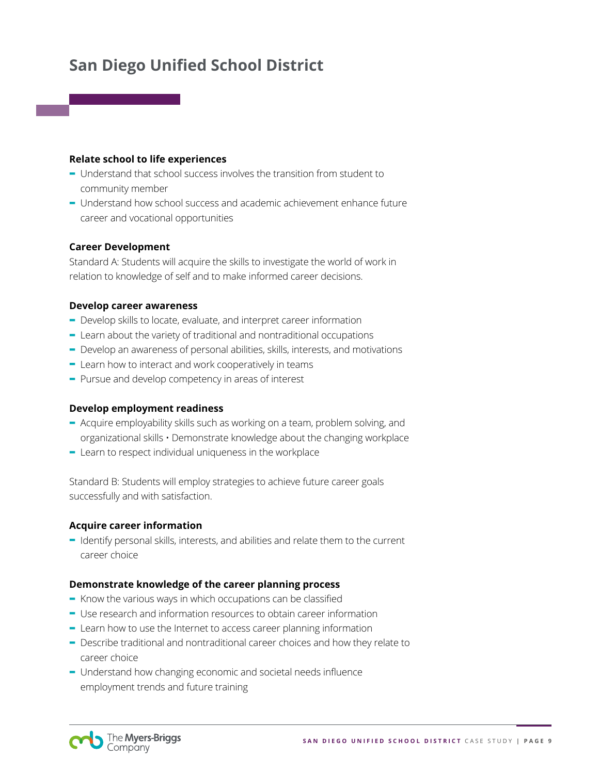### **Relate school to life experiences**

- **-** Understand that school success involves the transition from student to community member
- **-** Understand how school success and academic achievement enhance future career and vocational opportunities

#### **Career Development**

Standard A: Students will acquire the skills to investigate the world of work in relation to knowledge of self and to make informed career decisions.

### **Develop career awareness**

- **-** Develop skills to locate, evaluate, and interpret career information
- **-** Learn about the variety of traditional and nontraditional occupations
- **-** Develop an awareness of personal abilities, skills, interests, and motivations
- **-** Learn how to interact and work cooperatively in teams
- **-** Pursue and develop competency in areas of interest

#### **Develop employment readiness**

- **-** Acquire employability skills such as working on a team, problem solving, and organizational skills • Demonstrate knowledge about the changing workplace
- **-** Learn to respect individual uniqueness in the workplace

Standard B: Students will employ strategies to achieve future career goals successfully and with satisfaction.

#### **Acquire career information**

**-** Identify personal skills, interests, and abilities and relate them to the current career choice

#### **Demonstrate knowledge of the career planning process**

- **-** Know the various ways in which occupations can be classified
- **-** Use research and information resources to obtain career information
- **-** Learn how to use the Internet to access career planning information
- **-** Describe traditional and nontraditional career choices and how they relate to career choice
- **-** Understand how changing economic and societal needs influence employment trends and future training

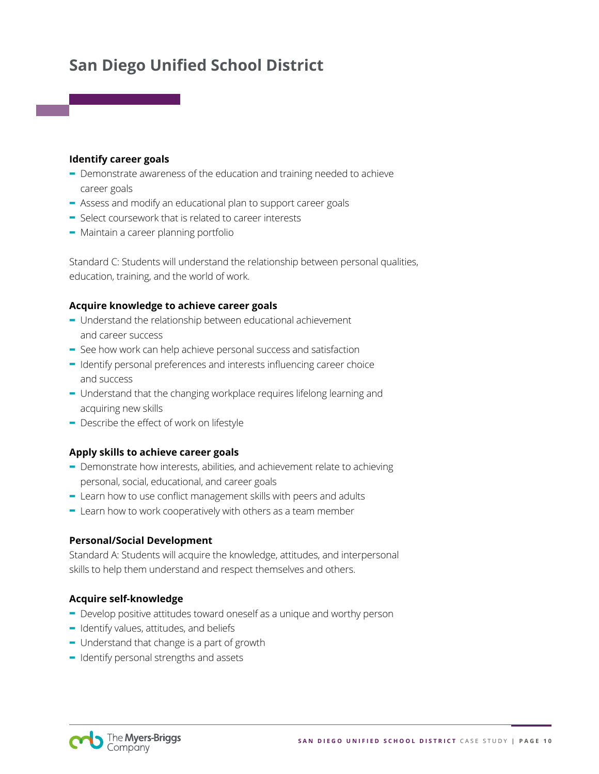#### **Identify career goals**

- **-** Demonstrate awareness of the education and training needed to achieve career goals
- **-** Assess and modify an educational plan to support career goals
- **-** Select coursework that is related to career interests
- **-** Maintain a career planning portfolio

Standard C: Students will understand the relationship between personal qualities, education, training, and the world of work.

### **Acquire knowledge to achieve career goals**

- **-** Understand the relationship between educational achievement and career success
- **-** See how work can help achieve personal success and satisfaction
- **-** Identify personal preferences and interests influencing career choice and success
- **-** Understand that the changing workplace requires lifelong learning and acquiring new skills
- **-** Describe the effect of work on lifestyle

### **Apply skills to achieve career goals**

- **-** Demonstrate how interests, abilities, and achievement relate to achieving personal, social, educational, and career goals
- **-** Learn how to use conflict management skills with peers and adults
- **-** Learn how to work cooperatively with others as a team member

### **Personal/Social Development**

Standard A: Students will acquire the knowledge, attitudes, and interpersonal skills to help them understand and respect themselves and others.

### **Acquire self-knowledge**

- **-** Develop positive attitudes toward oneself as a unique and worthy person
- **-** Identify values, attitudes, and beliefs
- **-** Understand that change is a part of growth
- **-** Identify personal strengths and assets

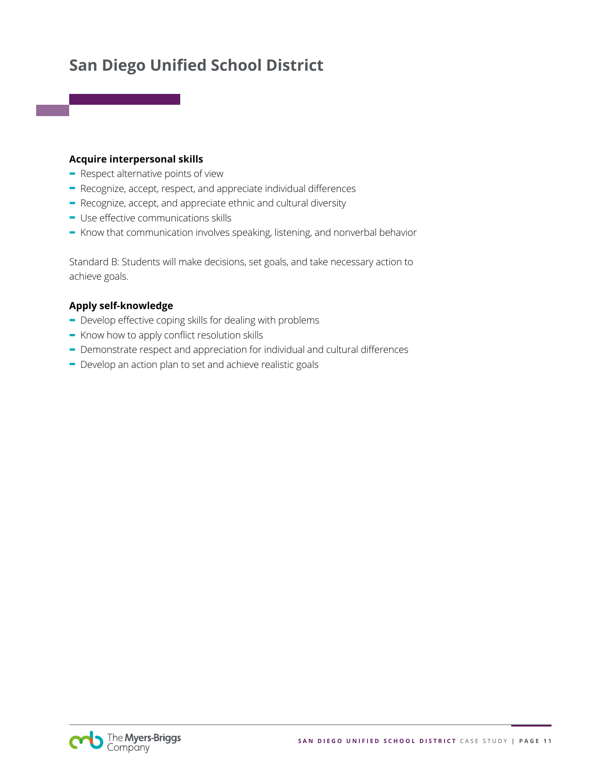### **Acquire interpersonal skills**

- **-** Respect alternative points of view
- **-** Recognize, accept, respect, and appreciate individual differences
- **-** Recognize, accept, and appreciate ethnic and cultural diversity
- **-** Use effective communications skills
- **-** Know that communication involves speaking, listening, and nonverbal behavior

Standard B: Students will make decisions, set goals, and take necessary action to achieve goals.

### **Apply self-knowledge**

- **-** Develop effective coping skills for dealing with problems
- **-** Know how to apply conflict resolution skills
- **-** Demonstrate respect and appreciation for individual and cultural differences
- **-** Develop an action plan to set and achieve realistic goals